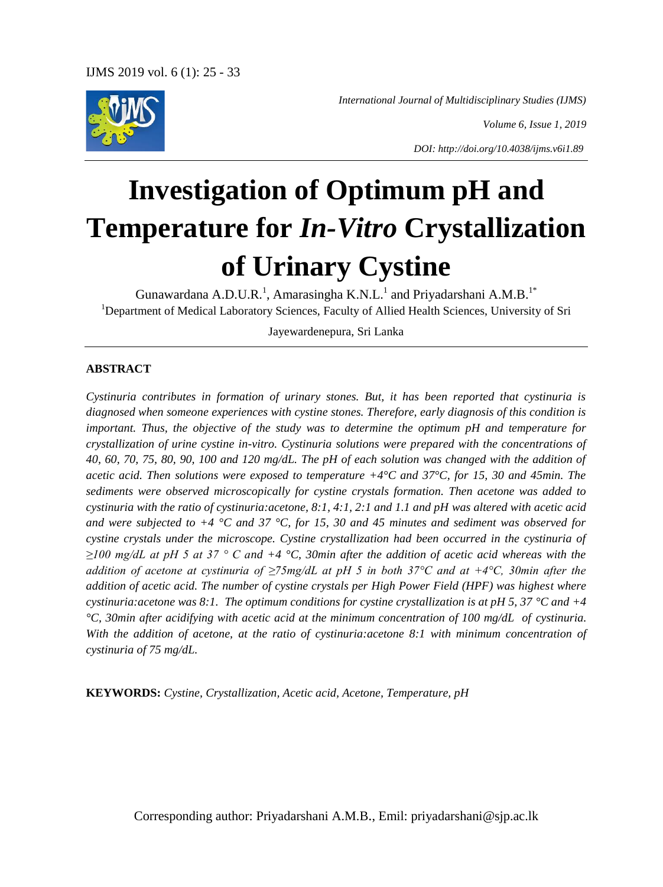

*International Journal of Multidisciplinary Studies (IJMS)*

*Volume 6, Issue 1, 2019*

*DOI: http://doi.org/10.4038/ijms.v6i1.89*

# **Investigation of Optimum pH and Temperature for** *In-Vitro* **Crystallization of Urinary Cystine**

Gunawardana A.D.U.R.<sup>1</sup>, Amarasingha K.N.L.<sup>1</sup> and Priyadarshani A.M.B.<sup>1\*</sup> <sup>1</sup>Department of Medical Laboratory Sciences, Faculty of Allied Health Sciences, University of Sri

Jayewardenepura, Sri Lanka

#### **ABSTRACT**

*Cystinuria contributes in formation of urinary stones. But, it has been reported that cystinuria is diagnosed when someone experiences with cystine stones. Therefore, early diagnosis of this condition is important. Thus, the objective of the study was to determine the optimum pH and temperature for crystallization of urine cystine in-vitro. Cystinuria solutions were prepared with the concentrations of 40, 60, 70, 75, 80, 90, 100 and 120 mg/dL. The pH of each solution was changed with the addition of acetic acid. Then solutions were exposed to temperature +4°C and 37°C, for 15, 30 and 45min. The sediments were observed microscopically for cystine crystals formation. Then acetone was added to cystinuria with the ratio of cystinuria:acetone, 8:1, 4:1, 2:1 and 1.1 and pH was altered with acetic acid and were subjected to +4 °C and 37 °C, for 15, 30 and 45 minutes and sediment was observed for cystine crystals under the microscope. Cystine crystallization had been occurred in the cystinuria of ≥100 mg/dL at pH 5 at 37 ° C and +4 °C, 30min after the addition of acetic acid whereas with the addition of acetone at cystinuria of ≥75mg/dL at pH 5 in both 37°C and at +4°C, 30min after the addition of acetic acid. The number of cystine crystals per High Power Field (HPF) was highest where cystinuria:acetone was 8:1. The optimum conditions for cystine crystallization is at pH 5, 37 °C and +4 °C, 30min after acidifying with acetic acid at the minimum concentration of 100 mg/dL of cystinuria. With the addition of acetone, at the ratio of cystinuria:acetone 8:1 with minimum concentration of cystinuria of 75 mg/dL.* 

**KEYWORDS:** *Cystine, Crystallization, Acetic acid, Acetone, Temperature, pH*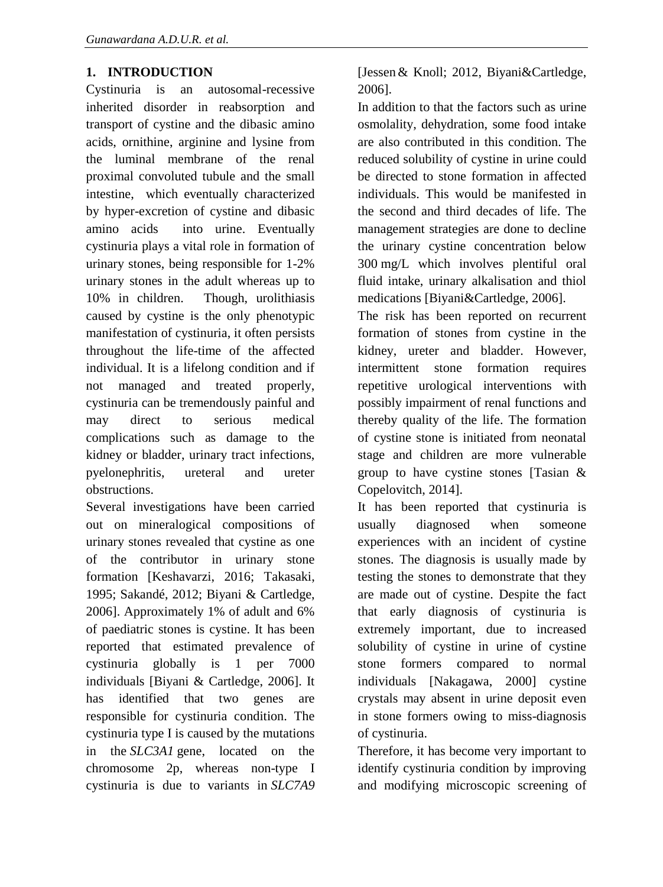# **1. INTRODUCTION**

Cystinuria is an autosomal-recessive inherited disorder in reabsorption and transport of cystine and the dibasic amino acids, ornithine, arginine and lysine from the luminal membrane of the renal proximal convoluted tubule and the small intestine, which eventually characterized by hyper-excretion of cystine and dibasic amino acids into urine. Eventually cystinuria plays a vital role in formation of urinary stones, being responsible for 1-2% urinary stones in the adult whereas up to 10% in children. Though, urolithiasis caused by cystine is the only phenotypic manifestation of cystinuria, it often persists throughout the life-time of the affected individual. It is a lifelong condition and if not managed and treated properly, cystinuria can be tremendously painful and may direct to serious medical complications such as damage to the kidney or bladder, urinary tract infections, pyelonephritis, ureteral and ureter obstructions.

Several investigations have been carried out on mineralogical compositions of urinary stones revealed that cystine as one of the contributor in urinary stone formation [Keshavarzi, 2016; Takasaki, 1995; Sakandé, 2012; Biyani & Cartledge, 2006]. Approximately 1% of adult and 6% of paediatric stones is cystine. It has been reported that estimated prevalence of cystinuria globally is 1 per 7000 individuals [Biyani & Cartledge, 2006]. It has identified that two genes are responsible for cystinuria condition. The cystinuria type I is caused by the mutations in the *SLC3A1* gene, located on the chromosome 2p, whereas non-type I cystinuria is due to variants in *SLC7A9* 

[Jesse[n&](mailto:j.jessen@klinikverbund-suedwest.de) Knoll; 2012, Biyani&Cartledge, 2006].

In addition to that the factors such as urine osmolality, dehydration, some food intake are also contributed in this condition. The reduced solubility of cystine in urine could be directed to stone formation in affected individuals. This would be manifested in the second and third decades of life. The management strategies are done to decline the urinary cystine concentration below 300 mg/L which involves plentiful oral fluid intake, urinary alkalisation and thiol medications [Biyani&Cartledge, 2006].

The risk has been reported on recurrent formation of stones from cystine in the kidney, ureter and bladder. However, intermittent stone formation requires repetitive urological interventions with possibly impairment of renal functions and thereby quality of the life. The formation of cystine stone is initiated from neonatal stage and children are more vulnerable group to have cystine stones [\[Tasian](https://www.ncbi.nlm.nih.gov/pubmed/?term=Tasian%20GE%5BAuthor%5D&cauthor=true&cauthor_uid=24960469) & Copelovitch, 2014].

It has been reported that cystinuria is usually diagnosed when someone experiences with an incident of cystine stones. The diagnosis is usually made by testing the stones to demonstrate that they are made out of cystine. Despite the fact that early diagnosis of cystinuria is extremely important, due to increased solubility of cystine in urine of cystine stone formers compared to normal individuals [Nakagawa, 2000] cystine crystals may absent in urine deposit even in stone formers owing to miss-diagnosis of cystinuria.

Therefore, it has become very important to identify cystinuria condition by improving and modifying microscopic screening of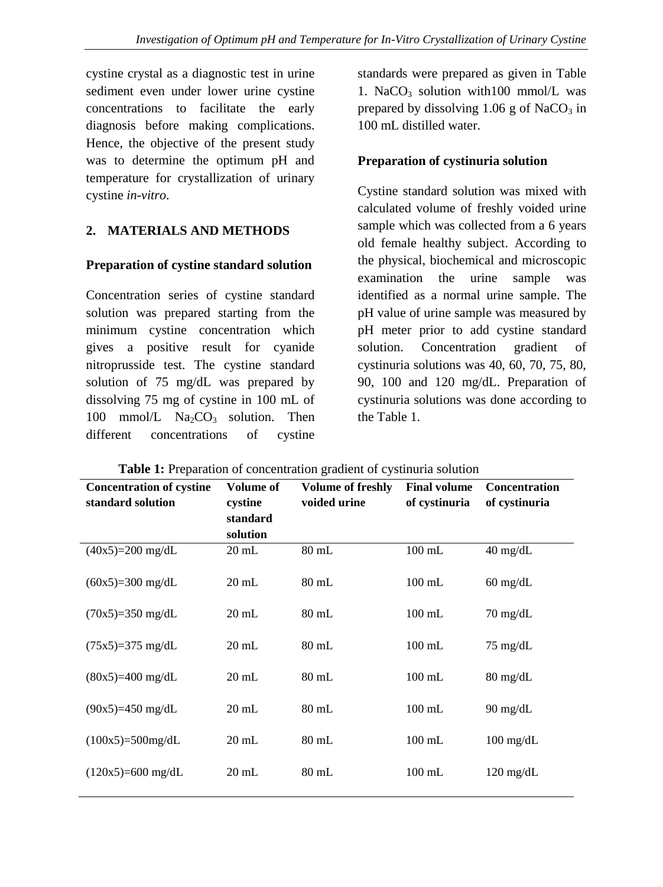cystine crystal as a diagnostic test in urine sediment even under lower urine cystine concentrations to facilitate the early diagnosis before making complications. Hence, the objective of the present study was to determine the optimum pH and temperature for crystallization of urinary cystine *in-vitro*.

## **2. MATERIALS AND METHODS**

#### **Preparation of cystine standard solution**

Concentration series of cystine standard solution was prepared starting from the minimum cystine concentration which gives a positive result for cyanide nitroprusside test. The cystine standard solution of 75 mg/dL was prepared by dissolving 75 mg of cystine in 100 mL of 100 mmol/L  $Na_2CO_3$  solution. Then different concentrations of cystine

standards were prepared as given in Table 1. NaCO<sub>3</sub> solution with100 mmol/L was prepared by dissolving  $1.06$  g of NaCO<sub>3</sub> in 100 mL distilled water.

#### **Preparation of cystinuria solution**

Cystine standard solution was mixed with calculated volume of freshly voided urine sample which was collected from a 6 years old female healthy subject. According to the physical, biochemical and microscopic examination the urine sample was identified as a normal urine sample. The pH value of urine sample was measured by pH meter prior to add cystine standard solution. Concentration gradient of cystinuria solutions was 40, 60, 70, 75, 80, 90, 100 and 120 mg/dL. Preparation of cystinuria solutions was done according to the Table 1.

| <b>Concentration of cystine</b><br>standard solution | Volume of<br>cystine<br>standard<br>solution | Volume of freshly<br>voided urine | <b>Final volume</b><br>of cystinuria | Concentration<br>of cystinuria |
|------------------------------------------------------|----------------------------------------------|-----------------------------------|--------------------------------------|--------------------------------|
| $(40x5)=200$ mg/dL                                   | $20 \text{ mL}$                              | $80$ mL                           | $100$ mL                             | $40$ mg/dL                     |
| $(60x5)=300$ mg/dL                                   | $20 \text{ mL}$                              | $80$ mL                           | $100$ mL                             | $60 \text{ mg/dL}$             |
| $(70x5)=350$ mg/dL                                   | $20 \text{ mL}$                              | $80$ mL                           | $100$ mL                             | $70 \text{ mg/dL}$             |
| $(75x5)=375$ mg/dL                                   | $20 \text{ mL}$                              | $80$ mL                           | $100$ mL                             | $75 \text{ mg/dL}$             |
| $(80x5)=400$ mg/dL                                   | $20 \text{ mL}$                              | $80$ mL                           | $100$ mL                             | $80 \text{ mg/dL}$             |
| $(90x5)=450$ mg/dL                                   | $20 \text{ mL}$                              | $80$ mL                           | $100$ mL                             | $90 \text{ mg/dL}$             |
| $(100x5)=500mg/dL$                                   | $20 \text{ mL}$                              | $80$ mL                           | $100$ mL                             | $100 \text{ mg/dL}$            |
| $(120x5)=600$ mg/dL                                  | $20 \text{ mL}$                              | $80$ mL                           | $100$ mL                             | $120 \text{ mg/dL}$            |

**Table 1:** Preparation of concentration gradient of cystinuria solution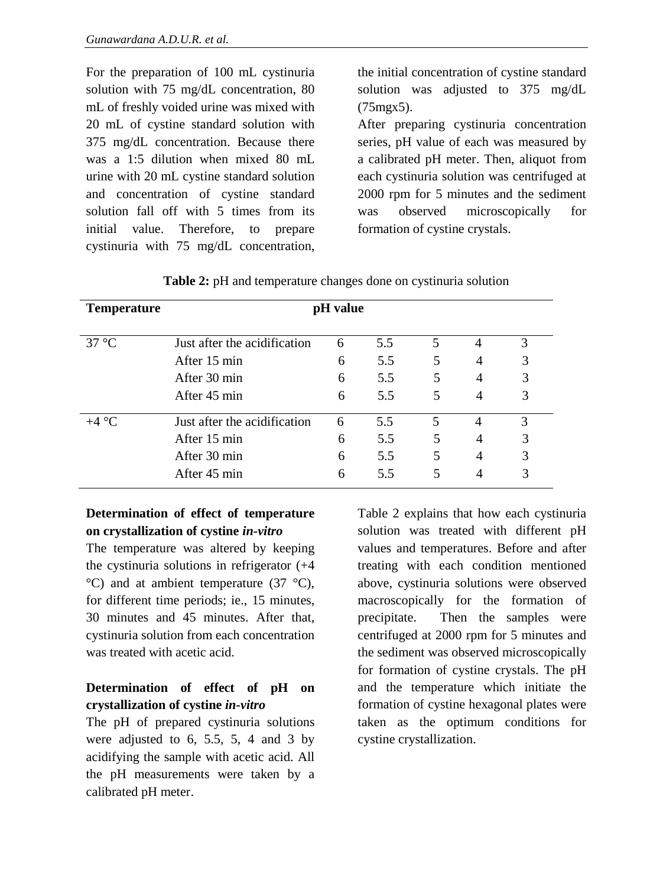For the preparation of 100 mL cystinuria solution with 75 mg/dL concentration, 80 mL of freshly voided urine was mixed with 20 mL of cystine standard solution with 375 mg/dL concentration. Because there was a 1:5 dilution when mixed 80 mL urine with 20 mL cystine standard solution and concentration of cystine standard solution fall off with 5 times from its initial value. Therefore, to prepare cystinuria with 75 mg/dL concentration, the initial concentration of cystine standard solution was adjusted to 375 mg/dL (75mgx5).

After preparing cystinuria concentration series, pH value of each was measured by a calibrated pH meter. Then, aliquot from each cystinuria solution was centrifuged at 2000 rpm for 5 minutes and the sediment was observed microscopically for formation of cystine crystals.

| <b>Temperature</b> | pH value                     |   |     |   |                |   |
|--------------------|------------------------------|---|-----|---|----------------|---|
| $37^{\circ}$ C     | Just after the acidification | 6 | 5.5 | 5 | 4              | 3 |
|                    | After 15 min                 | 6 | 5.5 | 5 | 4              | 3 |
|                    | After 30 min                 | 6 | 5.5 | 5 | 4              | 3 |
|                    | After 45 min                 | 6 | 5.5 | 5 | $\overline{4}$ | 3 |
| $+4 °C$            | Just after the acidification | 6 | 5.5 | 5 | 4              | 3 |
|                    | After 15 min                 | 6 | 5.5 | 5 | 4              | 3 |
|                    | After 30 min                 | 6 | 5.5 | 5 | 4              | 3 |
|                    | After 45 min                 | 6 | 5.5 | 5 | 4              | 3 |

## **Determination of effect of temperature on crystallization of cystine** *in-vitro*

The temperature was altered by keeping the cystinuria solutions in refrigerator (+4  $^{\circ}$ C) and at ambient temperature (37  $^{\circ}$ C), for different time periods; ie., 15 minutes, 30 minutes and 45 minutes. After that, cystinuria solution from each concentration was treated with acetic acid.

# **Determination of effect of pH on crystallization of cystine** *in-vitro*

The pH of prepared cystinuria solutions were adjusted to 6, 5.5, 5, 4 and 3 by acidifying the sample with acetic acid. All the pH measurements were taken by a calibrated pH meter.

Table 2 explains that how each cystinuria solution was treated with different pH values and temperatures. Before and after treating with each condition mentioned above, cystinuria solutions were observed macroscopically for the formation of precipitate. Then the samples were centrifuged at 2000 rpm for 5 minutes and the sediment was observed microscopically for formation of cystine crystals. The pH and the temperature which initiate the formation of cystine hexagonal plates were taken as the optimum conditions for cystine crystallization.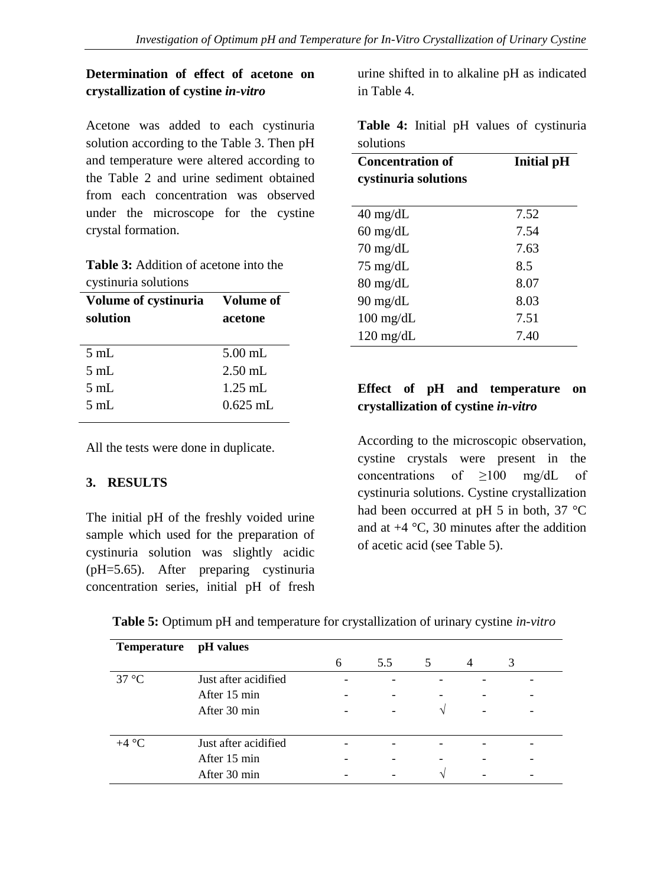# **Determination of effect of acetone on crystallization of cystine** *in-vitro*

Acetone was added to each cystinuria solution according to the Table 3. Then pH and temperature were altered according to the Table 2 and urine sediment obtained from each concentration was observed under the microscope for the cystine crystal formation.

**Table 3:** Addition of acetone into the cystinuria solutions

| Volume of cystinuria | Volume of  |  |  |  |
|----------------------|------------|--|--|--|
| solution             | acetone    |  |  |  |
| $5 \text{ mL}$       | $5.00$ mL  |  |  |  |
| $5 \text{ mL}$       | $2.50$ mL. |  |  |  |
| $5 \text{ mL}$       | $1.25$ mL  |  |  |  |
| $5 \text{ mL}$       | $0.625$ mL |  |  |  |
|                      |            |  |  |  |

All the tests were done in duplicate.

#### **3. RESULTS**

The initial pH of the freshly voided urine sample which used for the preparation of cystinuria solution was slightly acidic (pH=5.65). After preparing cystinuria concentration series, initial pH of fresh urine shifted in to alkaline pH as indicated in Table 4.

**Table 4:** Initial pH values of cystinuria solutions

| <b>Concentration of</b><br>cystinuria solutions | <b>Initial pH</b> |  |  |  |
|-------------------------------------------------|-------------------|--|--|--|
| $40 \text{ mg/dL}$                              | 7.52              |  |  |  |
| $60 \text{ mg/dL}$                              | 7.54              |  |  |  |
| $70 \text{ mg/dL}$                              | 7.63              |  |  |  |
| $75 \text{ mg/dL}$                              | 8.5               |  |  |  |
| $80 \text{ mg/dL}$                              | 8.07              |  |  |  |
| 90 mg/dL                                        | 8.03              |  |  |  |
| $100 \text{ mg/dL}$                             | 7.51              |  |  |  |
| $120 \text{ mg/dL}$                             | 7.40              |  |  |  |

# **Effect of pH and temperature on crystallization of cystine** *in-vitro*

According to the microscopic observation, cystine crystals were present in the concentrations of ≥100 mg/dL of cystinuria solutions. Cystine crystallization had been occurred at pH 5 in both, 37 °C and at  $+4$  °C, 30 minutes after the addition of acetic acid (see Table 5).

| <b>Temperature</b> | pH values            |   |     |               |                |   |
|--------------------|----------------------|---|-----|---------------|----------------|---|
|                    |                      | 6 | 5.5 | 5             | $\overline{4}$ | 3 |
| $37^{\circ}$ C     | Just after acidified |   |     |               |                |   |
|                    | After 15 min         |   |     |               |                |   |
|                    | After 30 min         |   | -   | $\mathcal{L}$ | -              |   |
| $+4 °C$            | Just after acidified |   |     |               |                |   |
|                    | After 15 min         |   |     |               |                |   |
|                    |                      |   |     |               |                |   |
|                    | After 30 min         |   |     | $\mathcal{L}$ |                |   |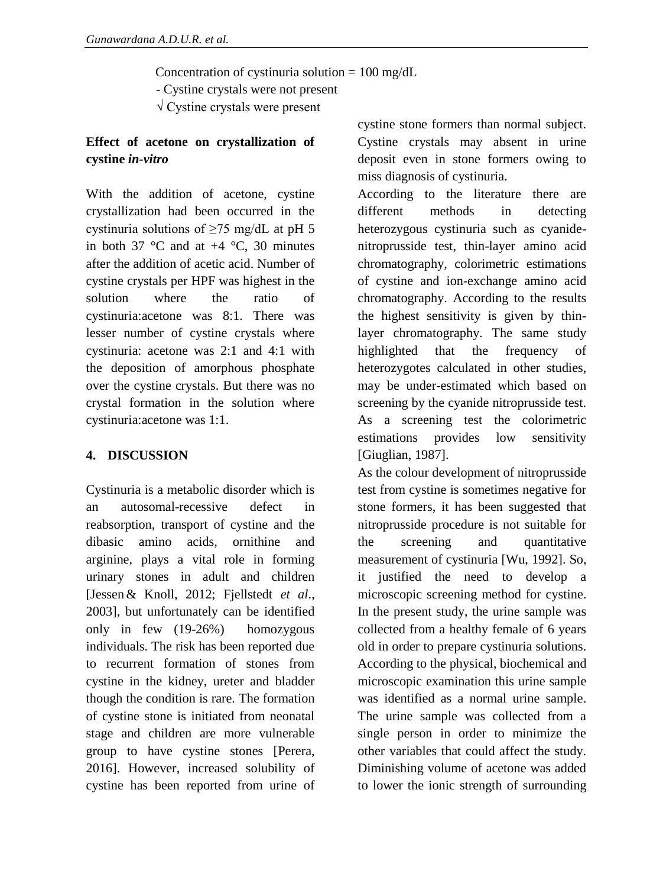Concentration of cystinuria solution  $= 100$  mg/dL

- Cystine crystals were not present

√ Cystine crystals were present

# **Effect of acetone on crystallization of cystine** *in-vitro*

With the addition of acetone, cystine crystallization had been occurred in the cystinuria solutions of  $\geq$ 75 mg/dL at pH 5 in both 37  $\degree$ C and at +4  $\degree$ C, 30 minutes after the addition of acetic acid. Number of cystine crystals per HPF was highest in the solution where the ratio of cystinuria:acetone was 8:1. There was lesser number of cystine crystals where cystinuria: acetone was 2:1 and 4:1 with the deposition of amorphous phosphate over the cystine crystals. But there was no crystal formation in the solution where cystinuria:acetone was 1:1.

# **4. DISCUSSION**

Cystinuria is a metabolic disorder which is an autosomal-recessive defect in reabsorption, transport of cystine and the dibasic amino acids, ornithine and arginine, plays a vital role in forming urinary stones in adult and children [Jesse[n&](mailto:j.jessen@klinikverbund-suedwest.de) Knoll, 2012; Fjellstedt *et al*., 2003], but unfortunately can be identified only in few (19-26%) homozygous individuals. The risk has been reported due to recurrent formation of stones from cystine in the kidney, ureter and bladder though the condition is rare. The formation of cystine stone is initiated from neonatal stage and children are more vulnerable group to have cystine stones [Perera, 2016]. However, increased solubility of cystine has been reported from urine of

cystine stone formers than normal subject. Cystine crystals may absent in urine deposit even in stone formers owing to miss diagnosis of cystinuria.

According to the literature there are different methods in detecting heterozygous cystinuria such as cyanidenitroprusside test, thin-layer amino acid chromatography, colorimetric estimations of cystine and ion-exchange amino acid chromatography. According to the results the highest sensitivity is given by thinlayer chromatography. The same study highlighted that the frequency of heterozygotes calculated in other studies, may be under-estimated which based on screening by the cyanide nitroprusside test. As a screening test the colorimetric estimations provides low sensitivity [Giuglian, 1987].

As the colour development of nitroprusside test from cystine is sometimes negative for stone formers, it has been suggested that nitroprusside procedure is not suitable for the screening and quantitative measurement of cystinuria [Wu, 1992]. So, it justified the need to develop a microscopic screening method for cystine. In the present study, the urine sample was collected from a healthy female of 6 years old in order to prepare cystinuria solutions. According to the physical, biochemical and microscopic examination this urine sample was identified as a normal urine sample. The urine sample was collected from a single person in order to minimize the other variables that could affect the study. Diminishing volume of acetone was added to lower the ionic strength of surrounding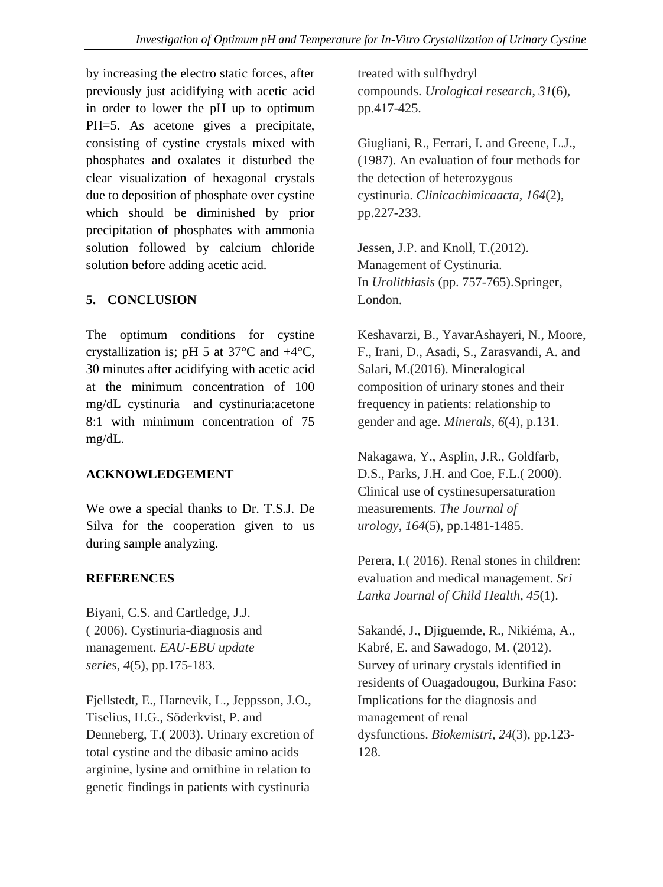by increasing the electro static forces, after previously just acidifying with acetic acid in order to lower the pH up to optimum PH=5. As acetone gives a precipitate, consisting of cystine crystals mixed with phosphates and oxalates it disturbed the clear visualization of hexagonal crystals due to deposition of phosphate over cystine which should be diminished by prior precipitation of phosphates with ammonia solution followed by calcium chloride solution before adding acetic acid.

## **5. CONCLUSION**

The optimum conditions for cystine crystallization is; pH 5 at  $37^{\circ}$ C and  $+4^{\circ}$ C, 30 minutes after acidifying with acetic acid at the minimum concentration of 100 mg/dL cystinuria and cystinuria:acetone 8:1 with minimum concentration of 75 mg/dL.

#### **ACKNOWLEDGEMENT**

We owe a special thanks to Dr. T.S.J. De Silva for the cooperation given to us during sample analyzing.

#### **REFERENCES**

Biyani, C.S. and Cartledge, J.J. ( 2006). Cystinuria-diagnosis and management. *EAU-EBU update series*, *4*(5), pp.175-183.

Fjellstedt, E., Harnevik, L., Jeppsson, J.O., Tiselius, H.G., Söderkvist, P. and Denneberg, T.( 2003). Urinary excretion of total cystine and the dibasic amino acids arginine, lysine and ornithine in relation to genetic findings in patients with cystinuria

treated with sulfhydryl compounds. *Urological research*, *31*(6), pp.417-425.

Giugliani, R., Ferrari, I. and Greene, L.J., (1987). An evaluation of four methods for the detection of heterozygous cystinuria. *Clinicachimicaacta*, *164*(2), pp.227-233.

Jessen, J.P. and Knoll, T.(2012). Management of Cystinuria. In *Urolithiasis* (pp. 757-765).Springer, London.

Keshavarzi, B., YavarAshayeri, N., Moore, F., Irani, D., Asadi, S., Zarasvandi, A. and Salari, M.(2016). Mineralogical composition of urinary stones and their frequency in patients: relationship to gender and age. *Minerals*, *6*(4), p.131.

Nakagawa, Y., Asplin, J.R., Goldfarb, D.S., Parks, J.H. and Coe, F.L.( 2000). Clinical use of cystinesupersaturation measurements. *The Journal of urology*, *164*(5), pp.1481-1485.

Perera, I.( 2016). Renal stones in children: evaluation and medical management. *Sri Lanka Journal of Child Health*, *45*(1).

Sakandé, J., Djiguemde, R., Nikiéma, A., Kabré, E. and Sawadogo, M. (2012). Survey of urinary crystals identified in residents of Ouagadougou, Burkina Faso: Implications for the diagnosis and management of renal dysfunctions. *Biokemistri*, *24*(3), pp.123- 128.